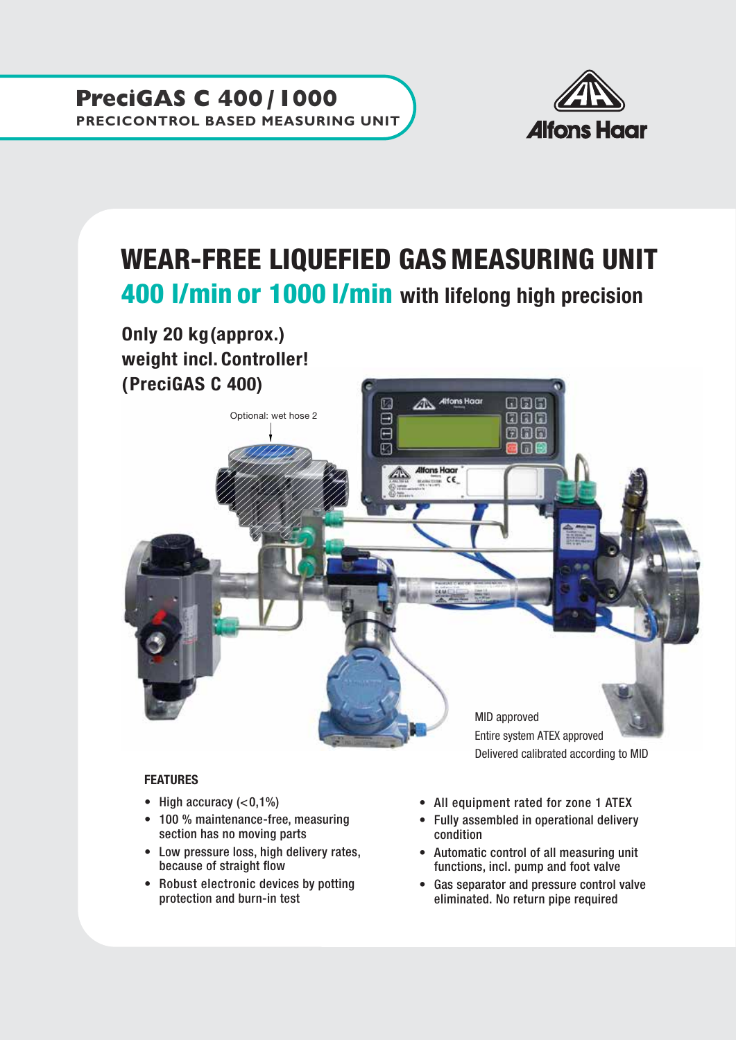

## WEAR-FREE LIQUEFIED GAS MEASURING UNIT 400 l/min or 1000 l/min with lifelong high precision Only 20 kg(approx.) weight incl. Controller! (PreciGAS C 400) Alfons Haar ចាធាត ЛN Optional: wet hose 2团 nn n 61 **Alfons Haar**  $\equiv$  CE

MID approved Entire system ATEX approved Delivered calibrated according to MID

## FEATURES

- High accuracy  $( $0,1\%$ )$
- 100 % maintenance-free, measuring section has no moving parts
- Low pressure loss, high delivery rates, because of straight flow
- Robust electronic devices by potting protection and burn-in test
- All equipment rated for zone 1 ATEX
- Fully assembled in operational delivery condition
- Automatic control of all measuring unit functions, incl. pump and foot valve
- Gas separator and pressure control valve eliminated. No return pipe required